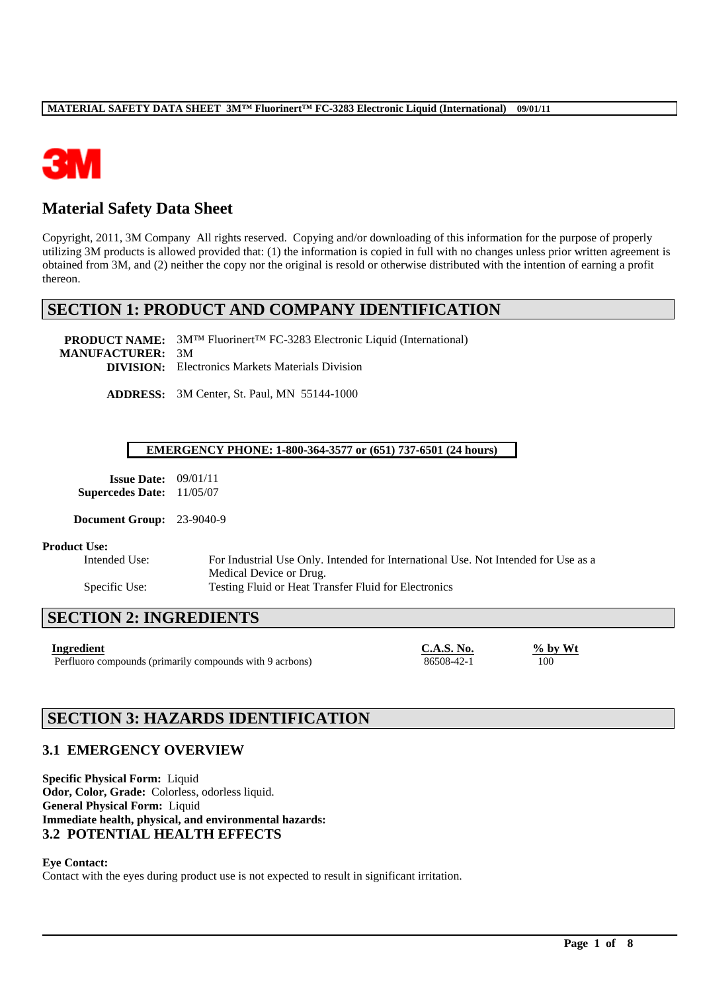

# **Material Safety Data Sheet**

Copyright, 2011, 3M Company All rights reserved. Copying and/or downloading of this information for the purpose of properly utilizing 3M products is allowed provided that: (1) the information is copied in full with no changes unless prior written agreement is obtained from 3M, and (2) neither the copy nor the original is resold or otherwise distributed with the intention of earning a profit thereon.

# **SECTION 1: PRODUCT AND COMPANY IDENTIFICATION**

**PRODUCT NAME:** 3M™ Fluorinert™ FC-3283 Electronic Liquid (International) **MANUFACTURER:** 3M **DIVISION:** Electronics Markets Materials Division

**ADDRESS:** 3M Center, St. Paul, MN 55144-1000

#### **EMERGENCY PHONE: 1-800-364-3577 or (651) 737-6501 (24 hours)**

| <b>Issue Date:</b>      | 09/01/11 |
|-------------------------|----------|
| <b>Supercedes Date:</b> | 11/05/07 |

**Document Group:** 23-9040-9

#### **Product Use:**

Intended Use: For Industrial Use Only. Intended for International Use. Not Intended for Use as a Medical Device or Drug. Specific Use: Testing Fluid or Heat Transfer Fluid for Electronics

\_\_\_\_\_\_\_\_\_\_\_\_\_\_\_\_\_\_\_\_\_\_\_\_\_\_\_\_\_\_\_\_\_\_\_\_\_\_\_\_\_\_\_\_\_\_\_\_\_\_\_\_\_\_\_\_\_\_\_\_\_\_\_\_\_\_\_\_\_\_\_\_\_\_\_\_\_\_\_\_\_\_\_\_\_\_\_\_\_\_\_\_\_\_\_\_\_

# **SECTION 2: INGREDIENTS**

Perfluoro compounds (primarily compounds with 9 acrbons) 86508-42-1 100

**Ingredient C.A.S. No.**  $\frac{96}{96}$  by Wt

# **SECTION 3: HAZARDS IDENTIFICATION**

# **3.1 EMERGENCY OVERVIEW**

**Specific Physical Form:** Liquid **Odor, Color, Grade:** Colorless, odorless liquid. **General Physical Form:** Liquid **Immediate health, physical, and environmental hazards: 3.2 POTENTIAL HEALTH EFFECTS**

**Eye Contact:**

Contact with the eyes during product use is not expected to result in significant irritation.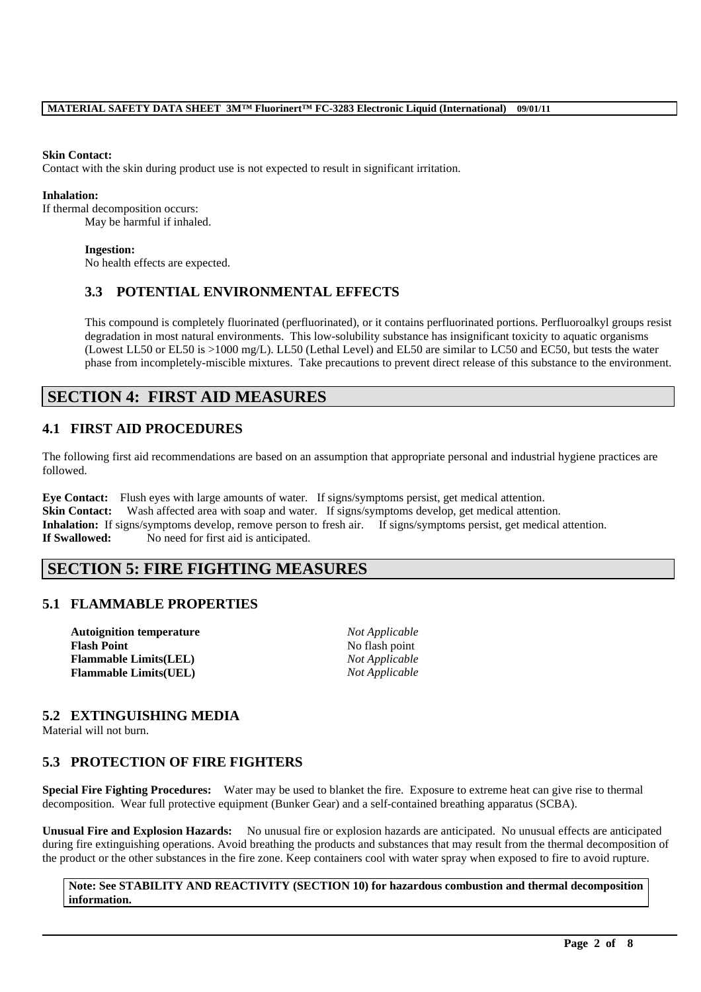#### **Skin Contact:**

Contact with the skin during product use is not expected to result in significant irritation.

#### **Inhalation:**

If thermal decomposition occurs: May be harmful if inhaled.

#### **Ingestion:**

No health effects are expected.

### **3.3 POTENTIAL ENVIRONMENTAL EFFECTS**

This compound is completely fluorinated (perfluorinated), or it contains perfluorinated portions. Perfluoroalkyl groups resist degradation in most natural environments. This low-solubility substance has insignificant toxicity to aquatic organisms (Lowest LL50 or EL50 is >1000 mg/L). LL50 (Lethal Level) and EL50 are similar to LC50 and EC50, but tests the water phase from incompletely-miscible mixtures. Take precautions to prevent direct release of this substance to the environment.

# **SECTION 4: FIRST AID MEASURES**

### **4.1 FIRST AID PROCEDURES**

The following first aid recommendations are based on an assumption that appropriate personal and industrial hygiene practices are followed.

**Eye Contact:** Flush eyes with large amounts of water. If signs/symptoms persist, get medical attention. **Skin Contact:** Wash affected area with soap and water. If signs/symptoms develop, get medical attention. **Inhalation:** If signs/symptoms develop, remove person to fresh air. If signs/symptoms persist, get medical attention. **If Swallowed:** No need for first aid is anticipated.

# **SECTION 5: FIRE FIGHTING MEASURES**

### **5.1 FLAMMABLE PROPERTIES**

**Autoignition temperature** *Not Applicable* **Flash Point** No flash point **Flammable Limits(LEL)** *Not Applicable* **Flammable Limits(UEL)** *Not Applicable*

### **5.2 EXTINGUISHING MEDIA**

Material will not burn.

### **5.3 PROTECTION OF FIRE FIGHTERS**

**Special Fire Fighting Procedures:** Water may be used to blanket the fire. Exposure to extreme heat can give rise to thermal decomposition. Wear full protective equipment (Bunker Gear) and a self-contained breathing apparatus (SCBA).

**Unusual Fire and Explosion Hazards:** No unusual fire or explosion hazards are anticipated. No unusual effects are anticipated during fire extinguishing operations. Avoid breathing the products and substances that may result from the thermal decomposition of the product or the other substances in the fire zone. Keep containers cool with water spray when exposed to fire to avoid rupture.

#### **Note: See STABILITY AND REACTIVITY (SECTION 10) for hazardous combustion and thermal decomposition information.**

\_\_\_\_\_\_\_\_\_\_\_\_\_\_\_\_\_\_\_\_\_\_\_\_\_\_\_\_\_\_\_\_\_\_\_\_\_\_\_\_\_\_\_\_\_\_\_\_\_\_\_\_\_\_\_\_\_\_\_\_\_\_\_\_\_\_\_\_\_\_\_\_\_\_\_\_\_\_\_\_\_\_\_\_\_\_\_\_\_\_\_\_\_\_\_\_\_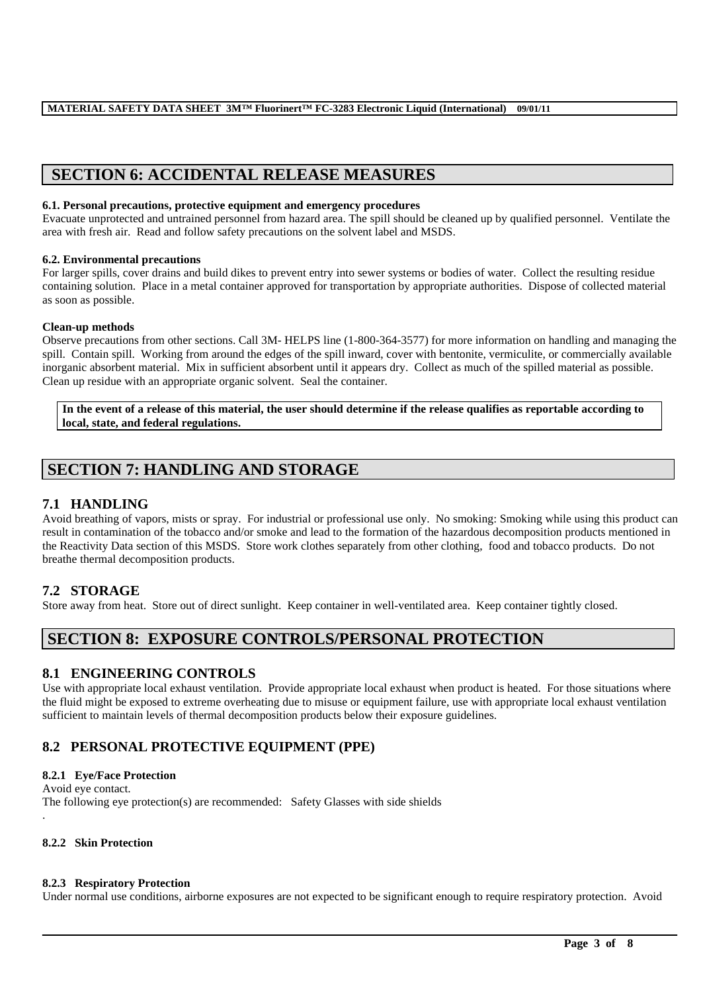# **SECTION 6: ACCIDENTAL RELEASE MEASURES**

#### **6.1. Personal precautions, protective equipment and emergency procedures**

Evacuate unprotected and untrained personnel from hazard area. The spill should be cleaned up by qualified personnel. Ventilate the area with fresh air. Read and follow safety precautions on the solvent label and MSDS.

#### **6.2. Environmental precautions**

For larger spills, cover drains and build dikes to prevent entry into sewer systems or bodies of water. Collect the resulting residue containing solution. Place in a metal container approved for transportation by appropriate authorities. Dispose of collected material as soon as possible.

### **Clean-up methods**

Observe precautions from other sections. Call 3M- HELPS line (1-800-364-3577) for more information on handling and managing the spill. Contain spill. Working from around the edges of the spill inward, cover with bentonite, vermiculite, or commercially available inorganic absorbent material. Mix in sufficient absorbent until it appears dry. Collect as much of the spilled material as possible. Clean up residue with an appropriate organic solvent. Seal the container.

**In the event of a release of this material, the user should determine if the release qualifies as reportable according to local, state, and federal regulations.**

# **SECTION 7: HANDLING AND STORAGE**

## **7.1 HANDLING**

Avoid breathing of vapors, mists or spray. For industrial or professional use only. No smoking: Smoking while using this product can result in contamination of the tobacco and/or smoke and lead to the formation of the hazardous decomposition products mentioned in the Reactivity Data section of this MSDS. Store work clothes separately from other clothing, food and tobacco products. Do not breathe thermal decomposition products.

### **7.2 STORAGE**

Store away from heat. Store out of direct sunlight. Keep container in well-ventilated area. Keep container tightly closed.

# **SECTION 8: EXPOSURE CONTROLS/PERSONAL PROTECTION**

### **8.1 ENGINEERING CONTROLS**

Use with appropriate local exhaust ventilation. Provide appropriate local exhaust when product is heated. For those situations where the fluid might be exposed to extreme overheating due to misuse or equipment failure, use with appropriate local exhaust ventilation sufficient to maintain levels of thermal decomposition products below their exposure guidelines.

# **8.2 PERSONAL PROTECTIVE EQUIPMENT (PPE)**

### **8.2.1 Eye/Face Protection**

Avoid eye contact. The following eye protection(s) are recommended: Safety Glasses with side shields .

#### **8.2.2 Skin Protection**

#### **8.2.3 Respiratory Protection**

Under normal use conditions, airborne exposures are not expected to be significant enough to require respiratory protection. Avoid

\_\_\_\_\_\_\_\_\_\_\_\_\_\_\_\_\_\_\_\_\_\_\_\_\_\_\_\_\_\_\_\_\_\_\_\_\_\_\_\_\_\_\_\_\_\_\_\_\_\_\_\_\_\_\_\_\_\_\_\_\_\_\_\_\_\_\_\_\_\_\_\_\_\_\_\_\_\_\_\_\_\_\_\_\_\_\_\_\_\_\_\_\_\_\_\_\_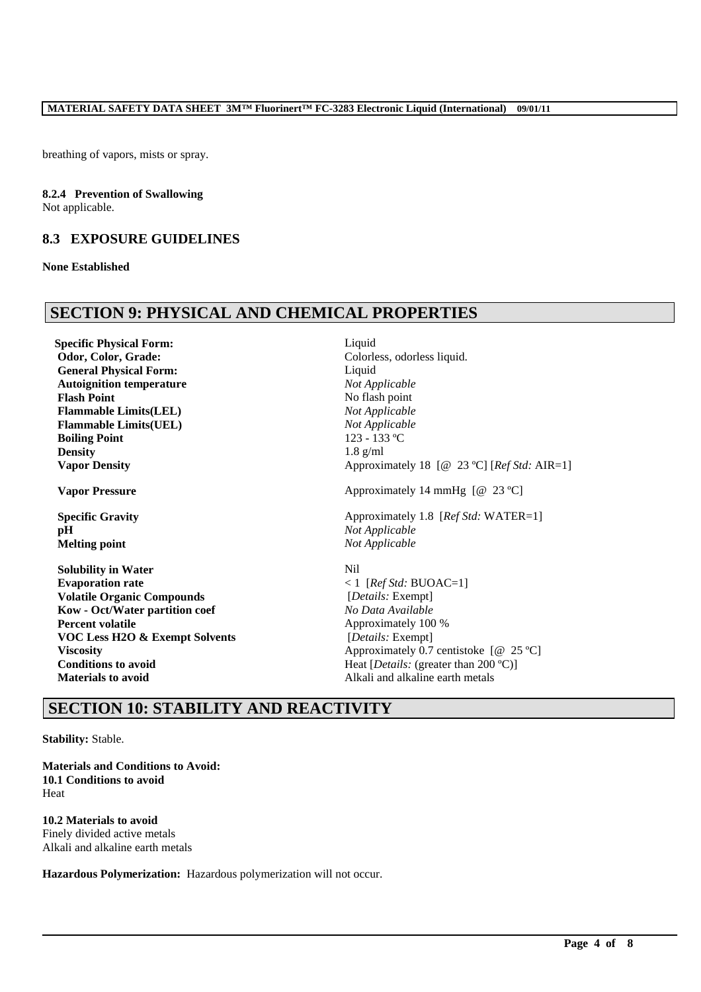breathing of vapors, mists or spray.

#### **8.2.4 Prevention of Swallowing**

Not applicable.

## **8.3 EXPOSURE GUIDELINES**

#### **None Established**

# **SECTION 9: PHYSICAL AND CHEMICAL PROPERTIES**

**Specific Physical Form:** Liquid **Odor, Color, Grade:** Colorless, odorless liquid. **General Physical Form:** Liquid **Autoignition temperature** *Not Applicable* **Flash Point** No flash point **Flammable Limits(LEL)** *Not Applicable* **Flammable Limits(UEL)** *Not Applicable* **Boiling Point** 123 - 133 °C **Density** 1.8 g/ml

**pH** *Not Applicable* **Melting point** *Not Applicable*

**Solubility in Water** Nil **Evaporation rate**  $\langle 1 | [RefStd: BUOAC=1] \rangle$ **Volatile Organic Compounds** [*Details:* Exempt] **Kow - Oct/Water partition coef** *No Data Available* **Percent volatile** Approximately 100 % **VOC Less H2O & Exempt Solvents** [*Details:* Exempt] **Conditions to avoid** Heat  $[Details: (greater than 200 °C)]$ **Materials to avoid Alkali** and alkaline earth metals

**Vapor Density** Approximately 18 [@ 23 °C] [*Ref Std:* AIR=1] **Vapor Pressure** Approximately 14 mmHg  $[@ 23 °C]$ **Specific Gravity** Approximately 1.8 [*Ref Std: WATER=1*]

**Viscosity** Approximately 0.7 centistoke  $[@ 25 °C]$ 

\_\_\_\_\_\_\_\_\_\_\_\_\_\_\_\_\_\_\_\_\_\_\_\_\_\_\_\_\_\_\_\_\_\_\_\_\_\_\_\_\_\_\_\_\_\_\_\_\_\_\_\_\_\_\_\_\_\_\_\_\_\_\_\_\_\_\_\_\_\_\_\_\_\_\_\_\_\_\_\_\_\_\_\_\_\_\_\_\_\_\_\_\_\_\_\_\_

# **SECTION 10: STABILITY AND REACTIVITY**

**Stability:** Stable.

**Materials and Conditions to Avoid: 10.1 Conditions to avoid** Heat

# **10.2 Materials to avoid**

Finely divided active metals Alkali and alkaline earth metals

**Hazardous Polymerization:** Hazardous polymerization will not occur.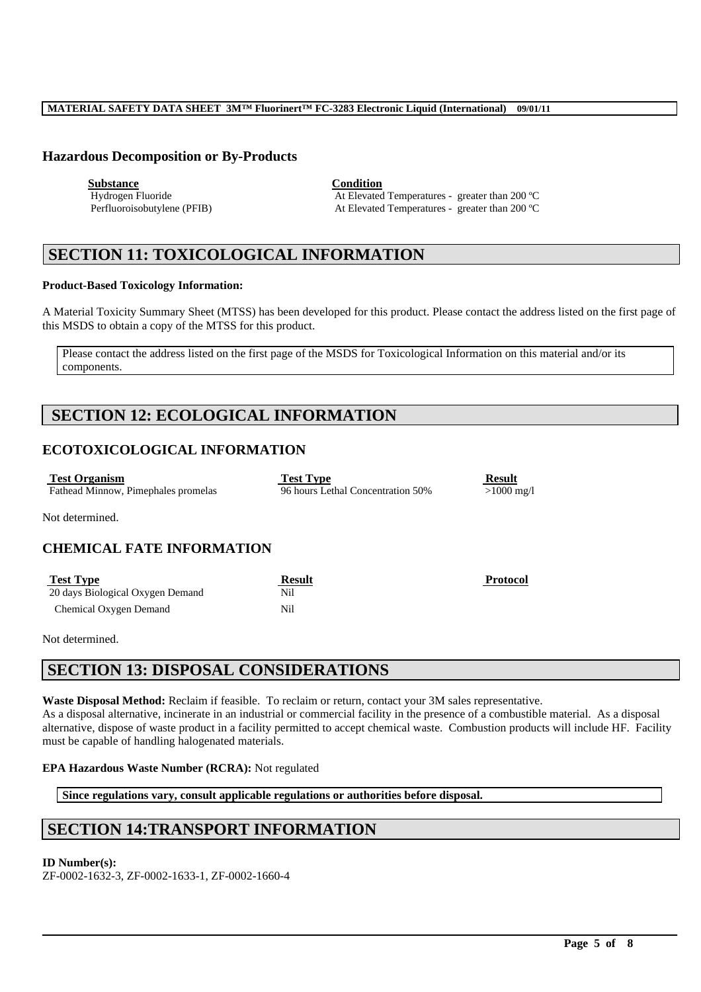#### **MATERIAL SAFETY DATA SHEET 3M™ Fluorinert™ FC-3283 Electronic Liquid (International) 09/01/11**

### **Hazardous Decomposition or By-Products**

**Substance Condition**

Hydrogen Fluoride **At Elevated Temperatures - greater than 200 °C**<br>Perfluoroisobutylene (PFIB) At Elevated Temperatures - greater than 200 °C At Elevated Temperatures - greater than 200 °C

# **SECTION 11: TOXICOLOGICAL INFORMATION**

#### **Product-Based Toxicology Information:**

A Material Toxicity Summary Sheet (MTSS) has been developed for this product. Please contact the address listed on the first page of this MSDS to obtain a copy of the MTSS for this product.

Please contact the address listed on the first page of the MSDS for Toxicological Information on this material and/or its components.

# **SECTION 12: ECOLOGICAL INFORMATION**

### **ECOTOXICOLOGICAL INFORMATION**

| <b>Test Organism</b>                | <b>Test Type</b>                  | <b>Result</b>           |
|-------------------------------------|-----------------------------------|-------------------------|
| Fathead Minnow, Pimephales promelas | 96 hours Lethal Concentration 50% | $>1000 \,\mathrm{mg}/l$ |
| Not dataminad                       |                                   |                         |

Not determined.

### **CHEMICAL FATE INFORMATION**

| <b>Test Type</b>                 | <b>Result</b> | <b>Protocol</b> |
|----------------------------------|---------------|-----------------|
| 20 days Biological Oxygen Demand | Nil           |                 |
| Chemical Oxygen Demand           | Nil           |                 |

Not determined.

# **SECTION 13: DISPOSAL CONSIDERATIONS**

**Waste Disposal Method:** Reclaim if feasible. To reclaim or return, contact your 3M sales representative. As a disposal alternative, incinerate in an industrial or commercial facility in the presence of a combustible material. As a disposal alternative, dispose of waste product in a facility permitted to accept chemical waste. Combustion products will include HF. Facility must be capable of handling halogenated materials.

\_\_\_\_\_\_\_\_\_\_\_\_\_\_\_\_\_\_\_\_\_\_\_\_\_\_\_\_\_\_\_\_\_\_\_\_\_\_\_\_\_\_\_\_\_\_\_\_\_\_\_\_\_\_\_\_\_\_\_\_\_\_\_\_\_\_\_\_\_\_\_\_\_\_\_\_\_\_\_\_\_\_\_\_\_\_\_\_\_\_\_\_\_\_\_\_\_

#### **EPA Hazardous Waste Number (RCRA):** Not regulated

**Since regulations vary, consult applicable regulations or authorities before disposal.**

# **SECTION 14:TRANSPORT INFORMATION**

### **ID Number(s):**

ZF-0002-1632-3, ZF-0002-1633-1, ZF-0002-1660-4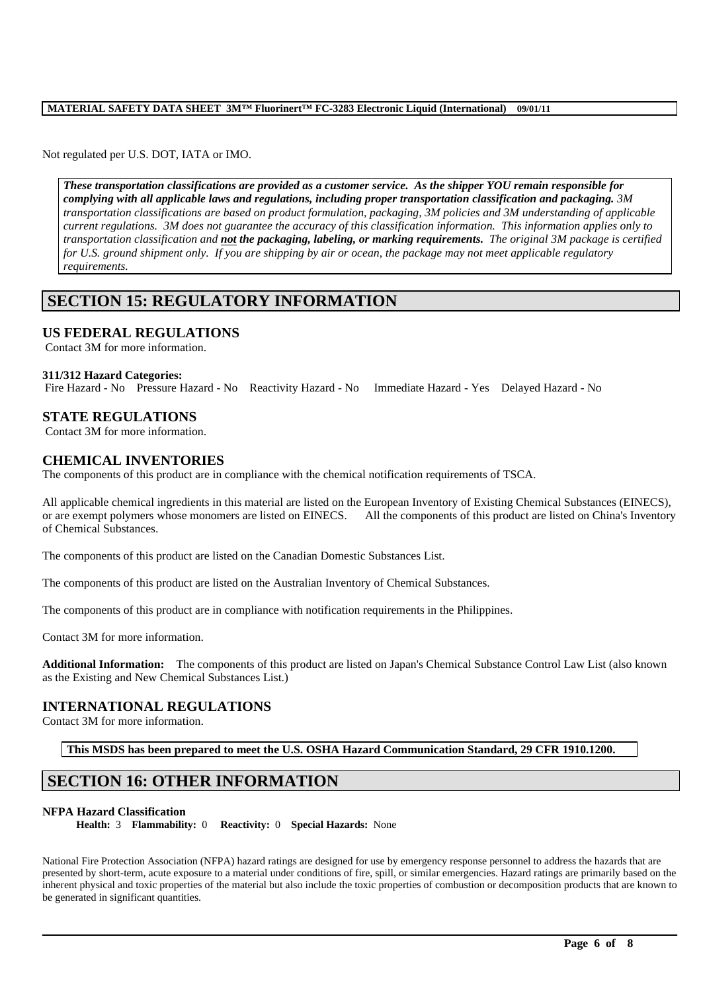### **MATERIAL SAFETY DATA SHEET 3M™ Fluorinert™ FC-3283 Electronic Liquid (International) 09/01/11**

Not regulated per U.S. DOT, IATA or IMO.

*These transportation classifications are provided as a customer service. As the shipper YOU remain responsible for complying with all applicable laws and regulations, including proper transportation classification and packaging. 3M transportation classifications are based on product formulation, packaging, 3M policies and 3M understanding of applicable current regulations. 3M does not guarantee the accuracy of this classification information. This information applies only to transportation classification and not the packaging, labeling, or marking requirements. The original 3M package is certified for U.S. ground shipment only. If you are shipping by air or ocean, the package may not meet applicable regulatory requirements.* 

# **SECTION 15: REGULATORY INFORMATION**

#### **US FEDERAL REGULATIONS**

Contact 3M for more information.

#### **311/312 Hazard Categories:**

Fire Hazard - No Pressure Hazard - No Reactivity Hazard - No Immediate Hazard - Yes Delayed Hazard - No

### **STATE REGULATIONS**

Contact 3M for more information.

### **CHEMICAL INVENTORIES**

The components of this product are in compliance with the chemical notification requirements of TSCA.

All applicable chemical ingredients in this material are listed on the European Inventory of Existing Chemical Substances (EINECS), or are exempt polymers whose monomers are listed on EINECS. All the components of this product are listed on China's Inventory of Chemical Substances.

The components of this product are listed on the Canadian Domestic Substances List.

The components of this product are listed on the Australian Inventory of Chemical Substances.

The components of this product are in compliance with notification requirements in the Philippines.

Contact 3M for more information.

**Additional Information:** The components of this product are listed on Japan's Chemical Substance Control Law List (also known as the Existing and New Chemical Substances List.)

#### **INTERNATIONAL REGULATIONS**

Contact 3M for more information.

**This MSDS has been prepared to meet the U.S. OSHA Hazard Communication Standard, 29 CFR 1910.1200.**

### **SECTION 16: OTHER INFORMATION**

#### **NFPA Hazard Classification**

**Health:** 3 **Flammability:** 0 **Reactivity:** 0 **Special Hazards:** None

National Fire Protection Association (NFPA) hazard ratings are designed for use by emergency response personnel to address the hazards that are presented by short-term, acute exposure to a material under conditions of fire, spill, or similar emergencies. Hazard ratings are primarily based on the inherent physical and toxic properties of the material but also include the toxic properties of combustion or decomposition products that are known to be generated in significant quantities.

\_\_\_\_\_\_\_\_\_\_\_\_\_\_\_\_\_\_\_\_\_\_\_\_\_\_\_\_\_\_\_\_\_\_\_\_\_\_\_\_\_\_\_\_\_\_\_\_\_\_\_\_\_\_\_\_\_\_\_\_\_\_\_\_\_\_\_\_\_\_\_\_\_\_\_\_\_\_\_\_\_\_\_\_\_\_\_\_\_\_\_\_\_\_\_\_\_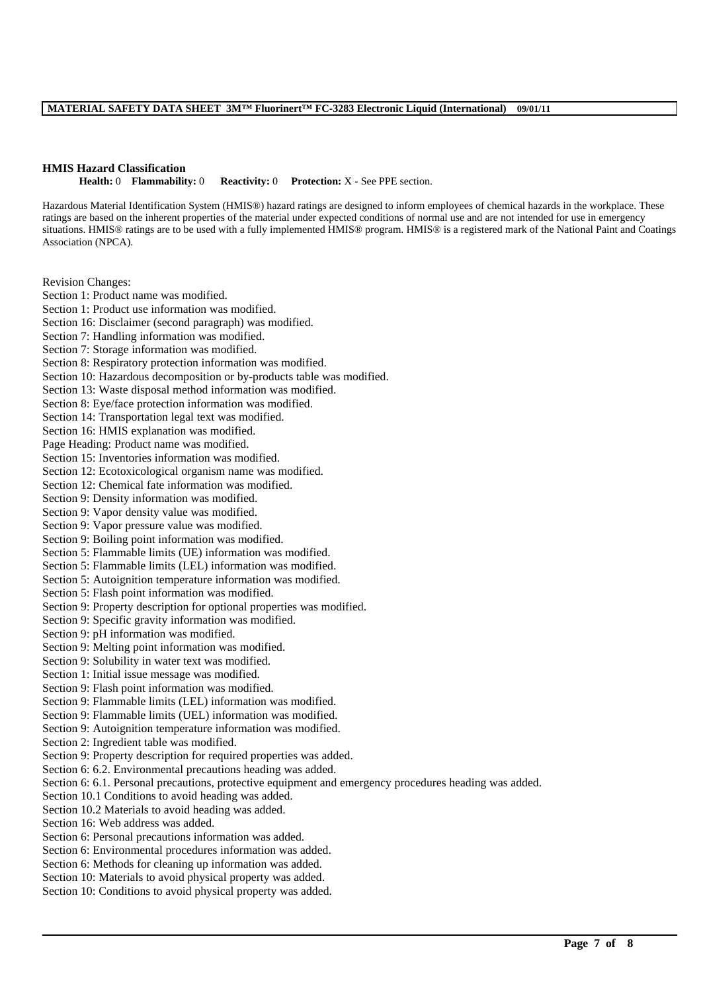#### **HMIS Hazard Classification**

**Health:** 0 **Flammability:** 0 **Reactivity:** 0 **Protection:** X - See PPE section.

Hazardous Material Identification System (HMIS®) hazard ratings are designed to inform employees of chemical hazards in the workplace. These ratings are based on the inherent properties of the material under expected conditions of normal use and are not intended for use in emergency situations. HMIS® ratings are to be used with a fully implemented HMIS® program. HMIS® is a registered mark of the National Paint and Coatings Association (NPCA).

\_\_\_\_\_\_\_\_\_\_\_\_\_\_\_\_\_\_\_\_\_\_\_\_\_\_\_\_\_\_\_\_\_\_\_\_\_\_\_\_\_\_\_\_\_\_\_\_\_\_\_\_\_\_\_\_\_\_\_\_\_\_\_\_\_\_\_\_\_\_\_\_\_\_\_\_\_\_\_\_\_\_\_\_\_\_\_\_\_\_\_\_\_\_\_\_\_

Revision Changes:

Section 1: Product name was modified. Section 1: Product use information was modified. Section 16: Disclaimer (second paragraph) was modified. Section 7: Handling information was modified. Section 7: Storage information was modified. Section 8: Respiratory protection information was modified. Section 10: Hazardous decomposition or by-products table was modified. Section 13: Waste disposal method information was modified. Section 8: Eve/face protection information was modified. Section 14: Transportation legal text was modified. Section 16: HMIS explanation was modified. Page Heading: Product name was modified. Section 15: Inventories information was modified. Section 12: Ecotoxicological organism name was modified. Section 12: Chemical fate information was modified. Section 9: Density information was modified. Section 9: Vapor density value was modified. Section 9: Vapor pressure value was modified. Section 9: Boiling point information was modified. Section 5: Flammable limits (UE) information was modified. Section 5: Flammable limits (LEL) information was modified. Section 5: Autoignition temperature information was modified. Section 5: Flash point information was modified. Section 9: Property description for optional properties was modified. Section 9: Specific gravity information was modified. Section 9: pH information was modified. Section 9: Melting point information was modified. Section 9: Solubility in water text was modified. Section 1: Initial issue message was modified. Section 9: Flash point information was modified. Section 9: Flammable limits (LEL) information was modified. Section 9: Flammable limits (UEL) information was modified. Section 9: Autoignition temperature information was modified. Section 2: Ingredient table was modified. Section 9: Property description for required properties was added. Section 6: 6.2. Environmental precautions heading was added. Section 6: 6.1. Personal precautions, protective equipment and emergency procedures heading was added. Section 10.1 Conditions to avoid heading was added. Section 10.2 Materials to avoid heading was added. Section 16: Web address was added. Section 6: Personal precautions information was added. Section 6: Environmental procedures information was added. Section 6: Methods for cleaning up information was added. Section 10: Materials to avoid physical property was added. Section 10: Conditions to avoid physical property was added.